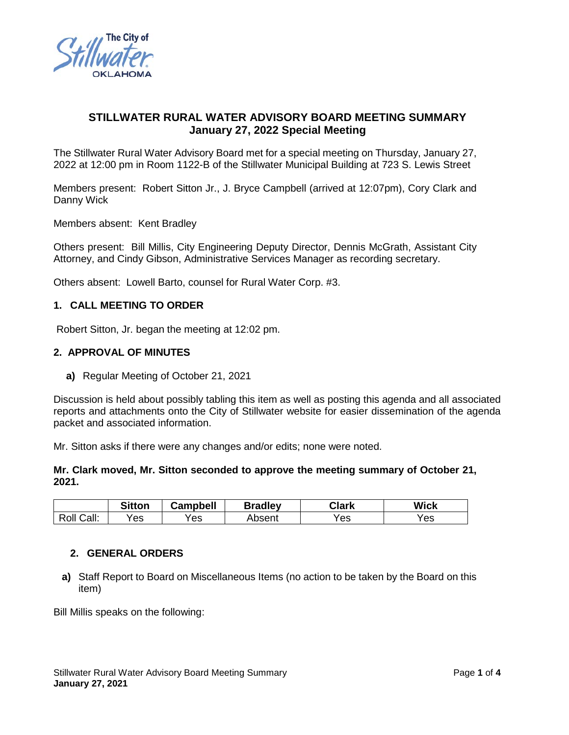

# **STILLWATER RURAL WATER ADVISORY BOARD MEETING SUMMARY January 27, 2022 Special Meeting**

The Stillwater Rural Water Advisory Board met for a special meeting on Thursday, January 27, 2022 at 12:00 pm in Room 1122-B of the Stillwater Municipal Building at 723 S. Lewis Street

Members present: Robert Sitton Jr., J. Bryce Campbell (arrived at 12:07pm), Cory Clark and Danny Wick

Members absent: Kent Bradley

Others present: Bill Millis, City Engineering Deputy Director, Dennis McGrath, Assistant City Attorney, and Cindy Gibson, Administrative Services Manager as recording secretary.

Others absent: Lowell Barto, counsel for Rural Water Corp. #3.

### **1. CALL MEETING TO ORDER**

Robert Sitton, Jr. began the meeting at 12:02 pm.

#### **2. APPROVAL OF MINUTES**

**a)** Regular Meeting of October 21, 2021

Discussion is held about possibly tabling this item as well as posting this agenda and all associated reports and attachments onto the City of Stillwater website for easier dissemination of the agenda packet and associated information.

Mr. Sitton asks if there were any changes and/or edits; none were noted.

### **Mr. Clark moved, Mr. Sitton seconded to approve the meeting summary of October 21, 2021.**

|                 | <b>Sitton</b> | <b>Campbell</b> | <b>Bradley</b> | Clark | <b>Wick</b> |
|-----------------|---------------|-----------------|----------------|-------|-------------|
| Call:<br>Roll ( | Yes           | Yes             | Absent         | Yes   | Yes         |

### **2. GENERAL ORDERS**

**a)** Staff Report to Board on Miscellaneous Items (no action to be taken by the Board on this item)

Bill Millis speaks on the following: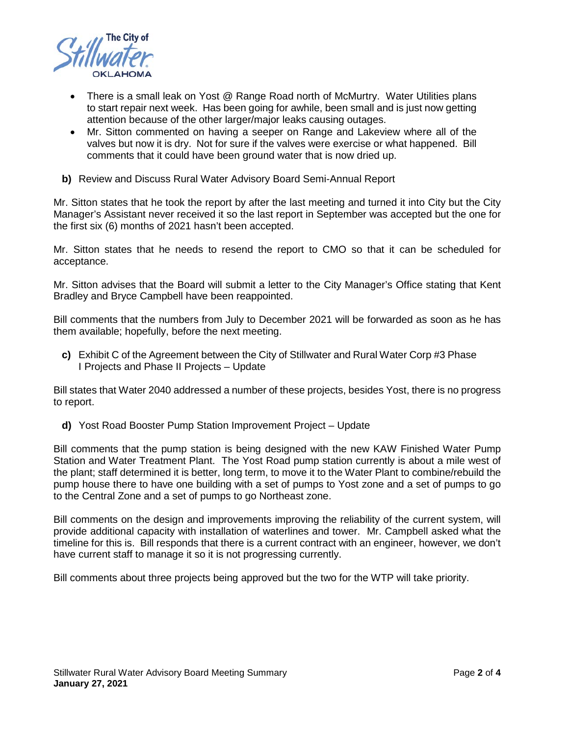

- There is a small leak on Yost @ Range Road north of McMurtry. Water Utilities plans to start repair next week. Has been going for awhile, been small and is just now getting attention because of the other larger/major leaks causing outages.
- Mr. Sitton commented on having a seeper on Range and Lakeview where all of the valves but now it is dry. Not for sure if the valves were exercise or what happened. Bill comments that it could have been ground water that is now dried up.
- **b)** Review and Discuss Rural Water Advisory Board Semi-Annual Report

Mr. Sitton states that he took the report by after the last meeting and turned it into City but the City Manager's Assistant never received it so the last report in September was accepted but the one for the first six (6) months of 2021 hasn't been accepted.

Mr. Sitton states that he needs to resend the report to CMO so that it can be scheduled for acceptance.

Mr. Sitton advises that the Board will submit a letter to the City Manager's Office stating that Kent Bradley and Bryce Campbell have been reappointed.

Bill comments that the numbers from July to December 2021 will be forwarded as soon as he has them available; hopefully, before the next meeting.

**c)** Exhibit C of the Agreement between the City of Stillwater and Rural Water Corp #3 Phase I Projects and Phase II Projects – Update

Bill states that Water 2040 addressed a number of these projects, besides Yost, there is no progress to report.

**d)** Yost Road Booster Pump Station Improvement Project – Update

Bill comments that the pump station is being designed with the new KAW Finished Water Pump Station and Water Treatment Plant. The Yost Road pump station currently is about a mile west of the plant; staff determined it is better, long term, to move it to the Water Plant to combine/rebuild the pump house there to have one building with a set of pumps to Yost zone and a set of pumps to go to the Central Zone and a set of pumps to go Northeast zone.

Bill comments on the design and improvements improving the reliability of the current system, will provide additional capacity with installation of waterlines and tower. Mr. Campbell asked what the timeline for this is. Bill responds that there is a current contract with an engineer, however, we don't have current staff to manage it so it is not progressing currently.

Bill comments about three projects being approved but the two for the WTP will take priority.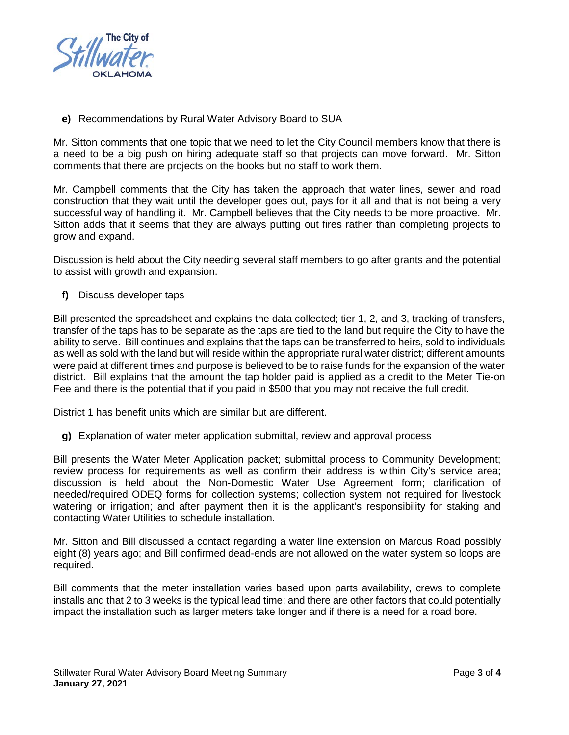

**e)** Recommendations by Rural Water Advisory Board to SUA

Mr. Sitton comments that one topic that we need to let the City Council members know that there is a need to be a big push on hiring adequate staff so that projects can move forward. Mr. Sitton comments that there are projects on the books but no staff to work them.

Mr. Campbell comments that the City has taken the approach that water lines, sewer and road construction that they wait until the developer goes out, pays for it all and that is not being a very successful way of handling it. Mr. Campbell believes that the City needs to be more proactive. Mr. Sitton adds that it seems that they are always putting out fires rather than completing projects to grow and expand.

Discussion is held about the City needing several staff members to go after grants and the potential to assist with growth and expansion.

**f)** Discuss developer taps

Bill presented the spreadsheet and explains the data collected; tier 1, 2, and 3, tracking of transfers, transfer of the taps has to be separate as the taps are tied to the land but require the City to have the ability to serve. Bill continues and explains that the taps can be transferred to heirs, sold to individuals as well as sold with the land but will reside within the appropriate rural water district; different amounts were paid at different times and purpose is believed to be to raise funds for the expansion of the water district. Bill explains that the amount the tap holder paid is applied as a credit to the Meter Tie-on Fee and there is the potential that if you paid in \$500 that you may not receive the full credit.

District 1 has benefit units which are similar but are different.

**g)** Explanation of water meter application submittal, review and approval process

Bill presents the Water Meter Application packet; submittal process to Community Development; review process for requirements as well as confirm their address is within City's service area; discussion is held about the Non-Domestic Water Use Agreement form; clarification of needed/required ODEQ forms for collection systems; collection system not required for livestock watering or irrigation; and after payment then it is the applicant's responsibility for staking and contacting Water Utilities to schedule installation.

Mr. Sitton and Bill discussed a contact regarding a water line extension on Marcus Road possibly eight (8) years ago; and Bill confirmed dead-ends are not allowed on the water system so loops are required.

Bill comments that the meter installation varies based upon parts availability, crews to complete installs and that 2 to 3 weeks is the typical lead time; and there are other factors that could potentially impact the installation such as larger meters take longer and if there is a need for a road bore.